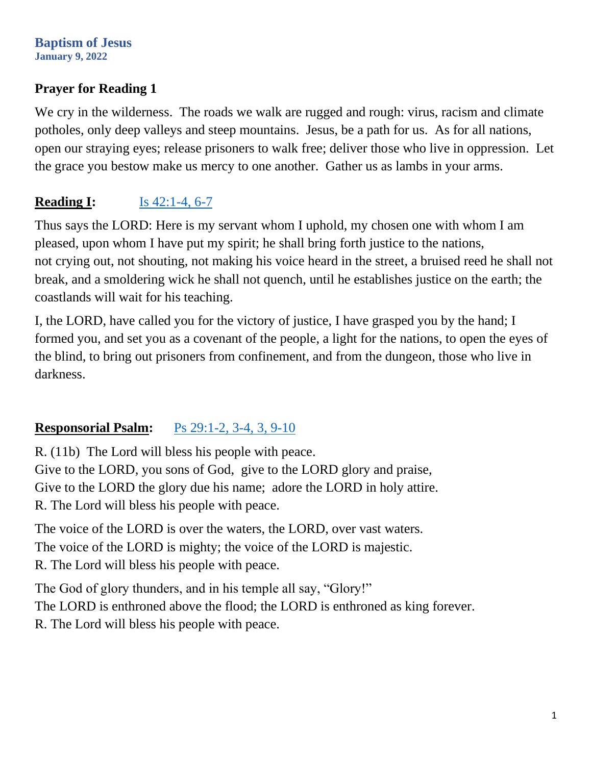## **Prayer for Reading 1**

We cry in the wilderness. The roads we walk are rugged and rough: virus, racism and climate potholes, only deep valleys and steep mountains. Jesus, be a path for us. As for all nations, open our straying eyes; release prisoners to walk free; deliver those who live in oppression. Let the grace you bestow make us mercy to one another. Gather us as lambs in your arms.

# **Reading I:** <u>Is 42:1-4</u>, 6-7

Thus says the LORD: Here is my servant whom I uphold, my chosen one with whom I am pleased, upon whom I have put my spirit; he shall bring forth justice to the nations, not crying out, not shouting, not making his voice heard in the street, a bruised reed he shall not break, and a smoldering wick he shall not quench, until he establishes justice on the earth; the coastlands will wait for his teaching.

I, the LORD, have called you for the victory of justice, I have grasped you by the hand; I formed you, and set you as a covenant of the people, a light for the nations, to open the eyes of the blind, to bring out prisoners from confinement, and from the dungeon, those who live in darkness.

# **Responsorial Psalm:** [Ps 29:1-2, 3-4, 3, 9-10](https://bible.usccb.org/bible/psalms/29?1)

R. (11b) The Lord will bless his people with peace. Give to the LORD, you sons of God, give to the LORD glory and praise, Give to the LORD the glory due his name; adore the LORD in holy attire. R. The Lord will bless his people with peace.

The voice of the LORD is over the waters, the LORD, over vast waters. The voice of the LORD is mighty; the voice of the LORD is majestic. R. The Lord will bless his people with peace.

The God of glory thunders, and in his temple all say, "Glory!" The LORD is enthroned above the flood; the LORD is enthroned as king forever. R. The Lord will bless his people with peace.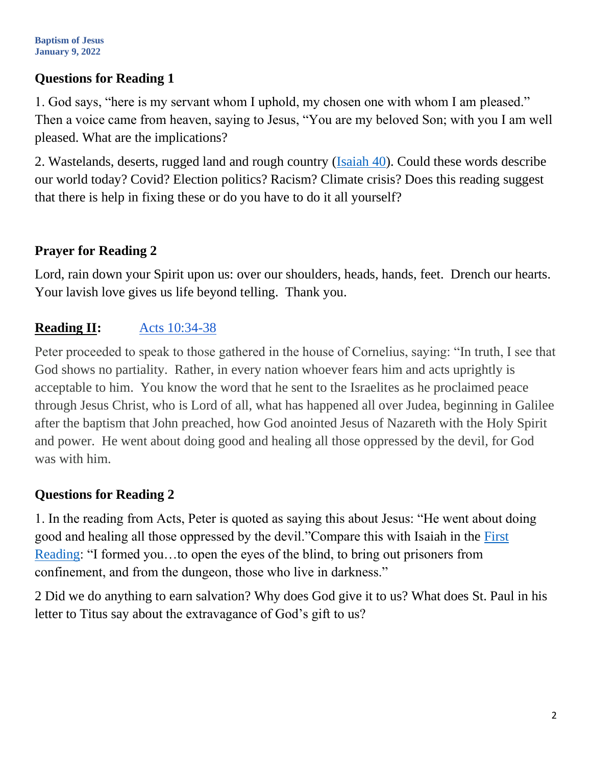## **Questions for Reading 1**

1. God says, "here is my servant whom I uphold, my chosen one with whom I am pleased." Then a voice came from heaven, saying to Jesus, "You are my beloved Son; with you I am well pleased. What are the implications?

2. Wastelands, deserts, rugged land and rough country [\(Isaiah 40\)](https://bible.usccb.org/bible/isaiah/40?1). Could these words describe our world today? Covid? Election politics? Racism? Climate crisis? Does this reading suggest that there is help in fixing these or do you have to do it all yourself?

## **Prayer for Reading 2**

Lord, rain down your Spirit upon us: over our shoulders, heads, hands, feet. Drench our hearts. Your lavish love gives us life beyond telling. Thank you.

# **Reading II:** [Acts 10:34-38](https://bible.usccb.org/bible/acts/10?34)

Peter proceeded to speak to those gathered in the house of Cornelius, saying: "In truth, I see that God shows no partiality. Rather, in every nation whoever fears him and acts uprightly is acceptable to him. You know the word that he sent to the Israelites as he proclaimed peace through Jesus Christ, who is Lord of all, what has happened all over Judea, beginning in Galilee after the baptism that John preached, how God anointed Jesus of Nazareth with the Holy Spirit and power. He went about doing good and healing all those oppressed by the devil, for God was with him.

# **Questions for Reading 2**

1. In the reading from Acts, Peter is quoted as saying this about Jesus: "He went about doing good and healing all those oppressed by the devil."Compare this with Isaiah in the [First](https://bible.usccb.org/bible/readings/010922.cfm)  [Reading:](https://bible.usccb.org/bible/readings/010922.cfm) "I formed you…to open the eyes of the blind, to bring out prisoners from confinement, and from the dungeon, those who live in darkness."

2 Did we do anything to earn salvation? Why does God give it to us? What does St. Paul in his letter to Titus say about the extravagance of God's gift to us?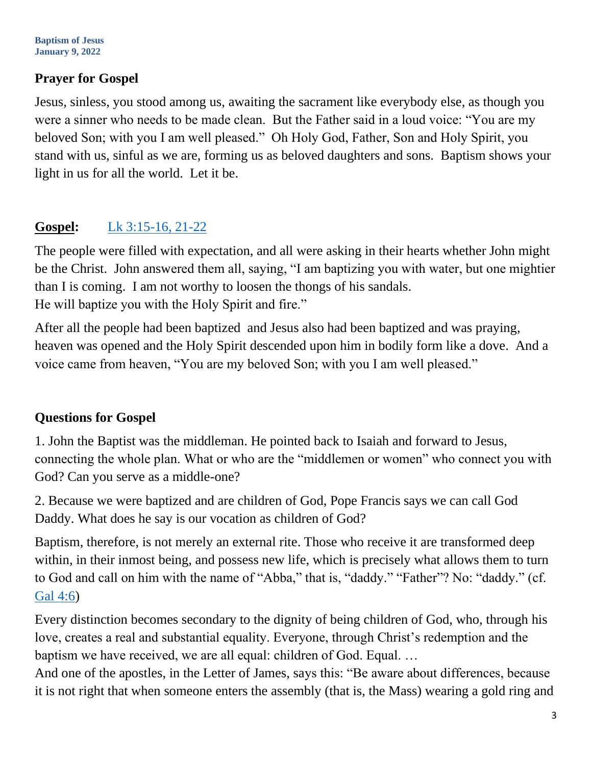## **Prayer for Gospel**

Jesus, sinless, you stood among us, awaiting the sacrament like everybody else, as though you were a sinner who needs to be made clean. But the Father said in a loud voice: "You are my beloved Son; with you I am well pleased." Oh Holy God, Father, Son and Holy Spirit, you stand with us, sinful as we are, forming us as beloved daughters and sons. Baptism shows your light in us for all the world. Let it be.

# **Gospel:** [Lk 3:15-16, 21-22](https://bible.usccb.org/bible/luke/3?15)

The people were filled with expectation, and all were asking in their hearts whether John might be the Christ. John answered them all, saying, "I am baptizing you with water, but one mightier than I is coming. I am not worthy to loosen the thongs of his sandals. He will baptize you with the Holy Spirit and fire."

After all the people had been baptized and Jesus also had been baptized and was praying, heaven was opened and the Holy Spirit descended upon him in bodily form like a dove. And a voice came from heaven, "You are my beloved Son; with you I am well pleased."

## **Questions for Gospel**

1. John the Baptist was the middleman. He pointed back to Isaiah and forward to Jesus, connecting the whole plan. What or who are the "middlemen or women" who connect you with God? Can you serve as a middle-one?

2. Because we were baptized and are children of God, Pope Francis says we can call God Daddy. What does he say is our vocation as children of God?

Baptism, therefore, is not merely an external rite. Those who receive it are transformed deep within, in their inmost being, and possess new life, which is precisely what allows them to turn to God and call on him with the name of "Abba," that is, "daddy." "Father"? No: "daddy." (cf. [Gal 4:6\)](https://bible.usccb.org/bible/galatians/4?6)

Every distinction becomes secondary to the dignity of being children of God, who, through his love, creates a real and substantial equality. Everyone, through Christ's redemption and the baptism we have received, we are all equal: children of God. Equal. …

And one of the apostles, in the Letter of James, says this: "Be aware about differences, because it is not right that when someone enters the assembly (that is, the Mass) wearing a gold ring and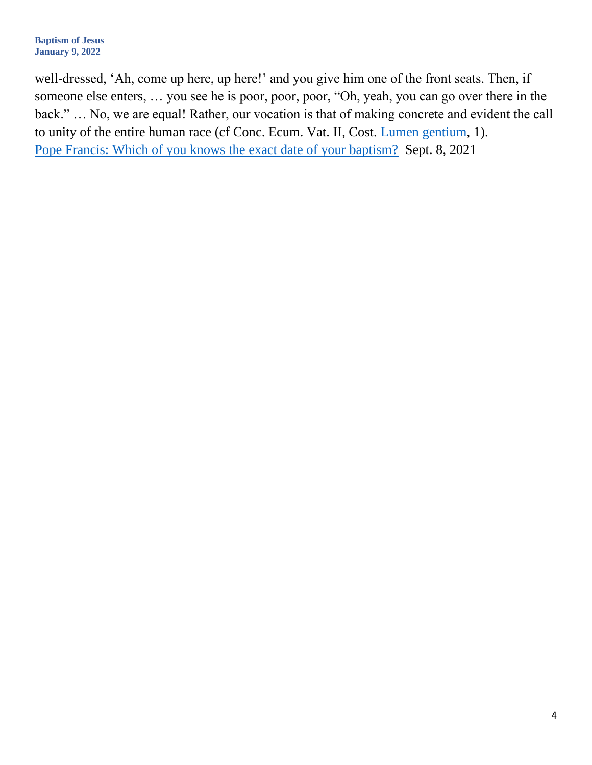well-dressed, 'Ah, come up here, up here!' and you give him one of the front seats. Then, if someone else enters, … you see he is poor, poor, poor, "Oh, yeah, you can go over there in the back." … No, we are equal! Rather, our vocation is that of making concrete and evident the call to unity of the entire human race (cf Conc. Ecum. Vat. II, Cost. [Lumen gentium,](https://www.vatican.va/archive/hist_councils/ii_vatican_council/documents/vat-ii_const_19641121_lumen-gentium_en.html) 1). [Pope Francis: Which of you knows the exact date of your baptism?](https://www.americamagazine.org/faith/2021/09/08/pope-francis-general-audience-baptism-241354) Sept. 8, 2021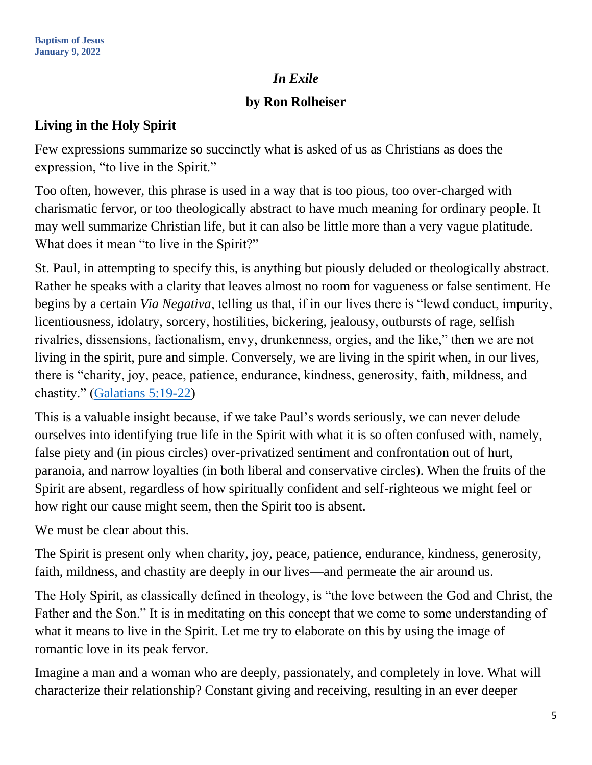#### *In Exile*

#### **by Ron Rolheiser**

#### **Living in the Holy Spirit**

Few expressions summarize so succinctly what is asked of us as Christians as does the expression, "to live in the Spirit."

Too often, however, this phrase is used in a way that is too pious, too over-charged with charismatic fervor, or too theologically abstract to have much meaning for ordinary people. It may well summarize Christian life, but it can also be little more than a very vague platitude. What does it mean "to live in the Spirit?"

St. Paul, in attempting to specify this, is anything but piously deluded or theologically abstract. Rather he speaks with a clarity that leaves almost no room for vagueness or false sentiment. He begins by a certain *Via Negativa*, telling us that, if in our lives there is "lewd conduct, impurity, licentiousness, idolatry, sorcery, hostilities, bickering, jealousy, outbursts of rage, selfish rivalries, dissensions, factionalism, envy, drunkenness, orgies, and the like," then we are not living in the spirit, pure and simple. Conversely, we are living in the spirit when, in our lives, there is "charity, joy, peace, patience, endurance, kindness, generosity, faith, mildness, and chastity." [\(Galatians 5:19-22\)](https://bible.usccb.org/bible/galatians/5?19)

This is a valuable insight because, if we take Paul's words seriously, we can never delude ourselves into identifying true life in the Spirit with what it is so often confused with, namely, false piety and (in pious circles) over-privatized sentiment and confrontation out of hurt, paranoia, and narrow loyalties (in both liberal and conservative circles). When the fruits of the Spirit are absent, regardless of how spiritually confident and self-righteous we might feel or how right our cause might seem, then the Spirit too is absent.

We must be clear about this.

The Spirit is present only when charity, joy, peace, patience, endurance, kindness, generosity, faith, mildness, and chastity are deeply in our lives—and permeate the air around us.

The Holy Spirit, as classically defined in theology, is "the love between the God and Christ, the Father and the Son." It is in meditating on this concept that we come to some understanding of what it means to live in the Spirit. Let me try to elaborate on this by using the image of romantic love in its peak fervor.

Imagine a man and a woman who are deeply, passionately, and completely in love. What will characterize their relationship? Constant giving and receiving, resulting in an ever deeper